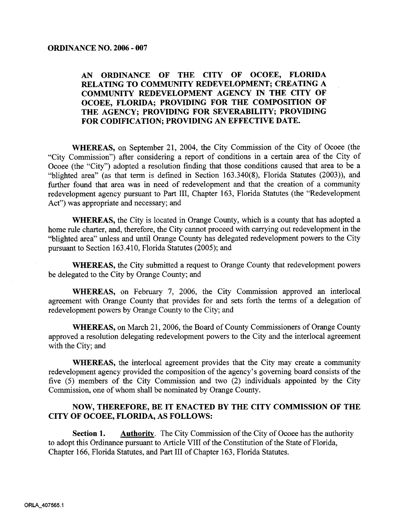## AN ORDINANCE OF THE CITY OF OCOEE, FLORIDA RELATING TO COMMUNITY REDEVELOPMENT; CREATING A COMMUNITY REDEVELOPMENT AGENCY IN THE CITY OF OCOEE, FLORIDA; PROVIDING FOR THE COMPOSITION OF THE AGENCY; PROVIDING FOR SEVERABILITY; PROVIDING FOR CODIFICATION; PROVIDING AN EFFECTIVE DATE.

WHEREAS, on September 21, 2004, the City Commission of the City of Ocoee (the "City Commission") after considering a report of conditions in a certain area of the City of Ocoee (the "City") adopted a resolution finding that those conditions caused that area to be a "blighted area" (as that term is defined in Section 163.340(8), Florida Statutes (2003)), and further found that area was in need of redevelopment and that the creation of a community redevelopment agency pursuant to Part III, Chapter 163, Florida Statutes (the "Redevelopment Act") was appropriate and necessary; and

**WHEREAS**, the City is located in Orange County, which is a county that has adopted a home rule charter, and, therefore, the City cannot proceed with carrying out redevelopment in the "blighted area" unless and until Orange County has delegated redevelopment powers to the City pursuant to Section 163.410, Florida Statutes (2005); and

**WHEREAS,** the City submitted a request to Orange County that redevelopment powers be delegated to the City by Orange County; and

WHEREAS, on February 7, 2006, the City Commission approved an interlocal agreement with Orange County that provides for and sets forth the terms of a delegation of redevelopment powers by Orange County to the City; and

WHEREAS, on March 21, 2006, the Board of County Commissioners of Orange County approved a resolution delegating redevelopment powers to the City and the interlocal agreement with the City; and

WHEREAS, the interlocal agreement provides that the City may create a community redevelopment agency provided the composition of the agency's governing board consists of the five (5) members of the City Commission and two (2) individuals appointed by the City Commission, one of whom shall be nominated by Orange County.

## NOW, THEREFORE, BE IT ENACTED BY THE CITY COMMISSION OF THE CITY OF OCOEE, FLORIDA, AS FOLLOWS:

**Authority.** The City Commission of the City of Ocoee has the authority Section 1. to adopt this Ordinance pursuant to Article VIII of the Constitution of the State of Florida, Chapter 166, Florida Statutes, and Part III of Chapter 163, Florida Statutes.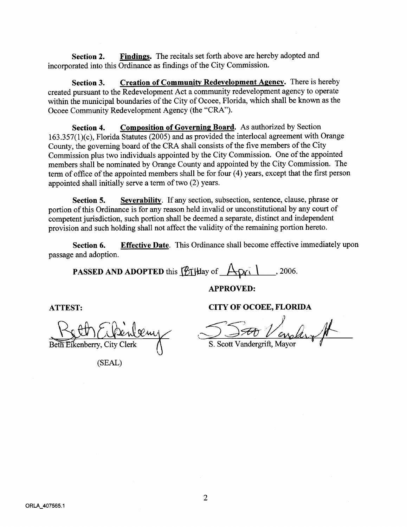**Section 2.** Findings. The recitals set forth above are hereby adopted and incorporated into this Ordinance as findings of the City Commission.

Section 3. Creation of Community Redevelopment Agency. There is hereby created pursuant to the Redevelopment Act <sup>a</sup> community redevelopment agency to operate within the municipal boundaries of the City of Ocoee, Florida, which shall be known as the Ocoee Community Redevelopment Agency (the "CRA").

Section 4. Composition of Governing Board. As authorized by Section  $163.357(1)(c)$ . Florida Statutes (2005) and as provided the interlocal agreement with Orange County, the governing board of the CRA shall consists of the five members of the City Commission plus two individuals appointed by the City Commission. One of the appointed members shall be nominated by Orange County and appointed by the City Commission The term of office of the appointed members shall be for four  $(4)$  years, except that the first person appointed shall initially serve a term of two  $(2)$  years.

Section 5. Severability. If any section, subsection, sentence, clause, phrase or portion of this Ordinance is for any reason held invalid or unconstitutional by any court of competent jurisdiction, such portion shall be deemed a separate, distinct and independent provision and such holding shall not affect the validity of the remaining portion hereto.

Section 6. Effective Date. This Ordinance shall become effective immediately upon passage and adoption

**PASSED AND ADOPTED** this  $\left[\mathcal{B}_{\text{t}}\right]$  and  $\left[\mathcal{A}_{\text{t}}\right]$   $\left[\mathcal{A}_{\text{t}}\right]$   $\left[\mathcal{A}_{\text{t}}\right]$   $\left[\mathcal{A}_{\text{t}}\right]$   $\left[\mathcal{A}_{\text{t}}\right]$   $\left[\mathcal{A}_{\text{t}}\right]$   $\left[\mathcal{A}_{\text{t}}\right]$   $\left[\mathcal{A}_{\text{t}}\right]$   $\left[\mathcal{A}_{\text{t}}\right]$ 

APPROVED

Beth Eikenberry, City Clerk

SEAL

ATTEST: CITY OF OCOEE, FLORIDA

SSA Vendernit

S. Scott Vandergrift, Mayor